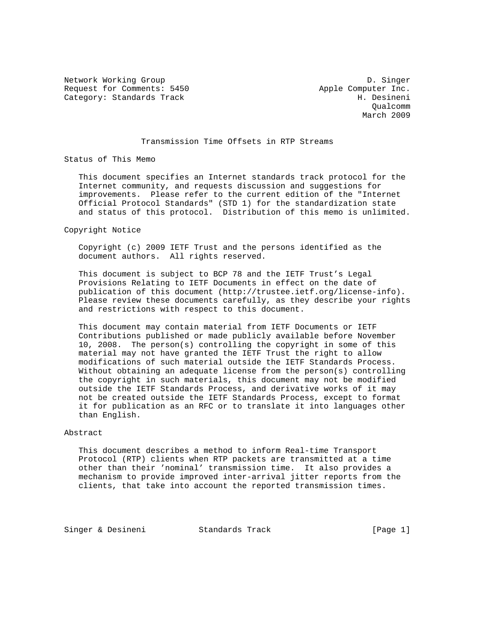Network Working Group Description of the U.S. Singer Request for Comments: 5450 Apple Computer Inc. Category: Standards Track H. Desineni

 Qualcomm March 2009

## Transmission Time Offsets in RTP Streams

Status of This Memo

 This document specifies an Internet standards track protocol for the Internet community, and requests discussion and suggestions for improvements. Please refer to the current edition of the "Internet Official Protocol Standards" (STD 1) for the standardization state and status of this protocol. Distribution of this memo is unlimited.

Copyright Notice

 Copyright (c) 2009 IETF Trust and the persons identified as the document authors. All rights reserved.

 This document is subject to BCP 78 and the IETF Trust's Legal Provisions Relating to IETF Documents in effect on the date of publication of this document (http://trustee.ietf.org/license-info). Please review these documents carefully, as they describe your rights and restrictions with respect to this document.

 This document may contain material from IETF Documents or IETF Contributions published or made publicly available before November 10, 2008. The person(s) controlling the copyright in some of this material may not have granted the IETF Trust the right to allow modifications of such material outside the IETF Standards Process. Without obtaining an adequate license from the person(s) controlling the copyright in such materials, this document may not be modified outside the IETF Standards Process, and derivative works of it may not be created outside the IETF Standards Process, except to format it for publication as an RFC or to translate it into languages other than English.

## Abstract

 This document describes a method to inform Real-time Transport Protocol (RTP) clients when RTP packets are transmitted at a time other than their 'nominal' transmission time. It also provides a mechanism to provide improved inter-arrival jitter reports from the clients, that take into account the reported transmission times.

Singer & Desineni Standards Track [Page 1]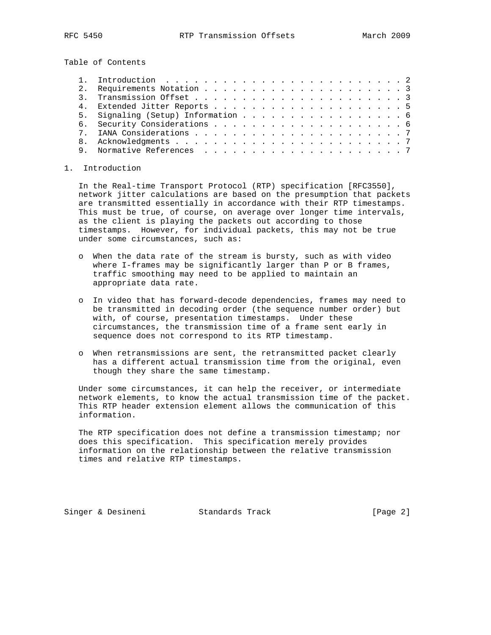Table of Contents

|   | 5. Signaling (Setup) Information 6 |  |
|---|------------------------------------|--|
|   |                                    |  |
|   |                                    |  |
|   |                                    |  |
| 9 |                                    |  |

## 1. Introduction

 In the Real-time Transport Protocol (RTP) specification [RFC3550], network jitter calculations are based on the presumption that packets are transmitted essentially in accordance with their RTP timestamps. This must be true, of course, on average over longer time intervals, as the client is playing the packets out according to those timestamps. However, for individual packets, this may not be true under some circumstances, such as:

- o When the data rate of the stream is bursty, such as with video where I-frames may be significantly larger than P or B frames, traffic smoothing may need to be applied to maintain an appropriate data rate.
- o In video that has forward-decode dependencies, frames may need to be transmitted in decoding order (the sequence number order) but with, of course, presentation timestamps. Under these circumstances, the transmission time of a frame sent early in sequence does not correspond to its RTP timestamp.
- o When retransmissions are sent, the retransmitted packet clearly has a different actual transmission time from the original, even though they share the same timestamp.

 Under some circumstances, it can help the receiver, or intermediate network elements, to know the actual transmission time of the packet. This RTP header extension element allows the communication of this information.

 The RTP specification does not define a transmission timestamp; nor does this specification. This specification merely provides information on the relationship between the relative transmission times and relative RTP timestamps.

Singer & Desineni Standards Track [Page 2]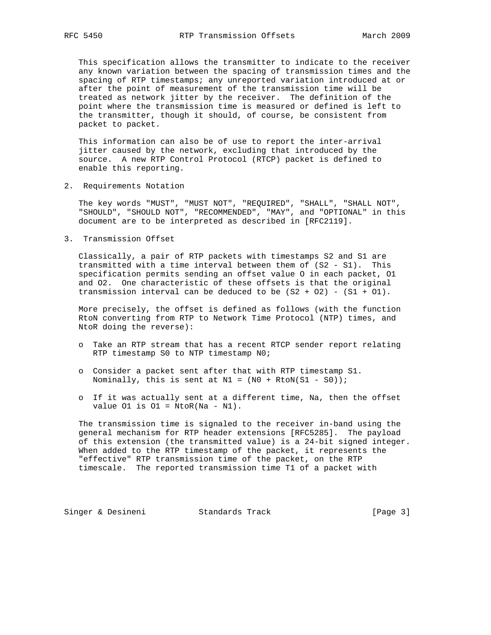This specification allows the transmitter to indicate to the receiver any known variation between the spacing of transmission times and the spacing of RTP timestamps; any unreported variation introduced at or after the point of measurement of the transmission time will be treated as network jitter by the receiver. The definition of the point where the transmission time is measured or defined is left to the transmitter, though it should, of course, be consistent from packet to packet.

 This information can also be of use to report the inter-arrival jitter caused by the network, excluding that introduced by the source. A new RTP Control Protocol (RTCP) packet is defined to enable this reporting.

2. Requirements Notation

 The key words "MUST", "MUST NOT", "REQUIRED", "SHALL", "SHALL NOT", "SHOULD", "SHOULD NOT", "RECOMMENDED", "MAY", and "OPTIONAL" in this document are to be interpreted as described in [RFC2119].

3. Transmission Offset

 Classically, a pair of RTP packets with timestamps S2 and S1 are transmitted with a time interval between them of (S2 - S1). This specification permits sending an offset value O in each packet, O1 and O2. One characteristic of these offsets is that the original transmission interval can be deduced to be  $(S2 + 02) - (S1 + 01)$ .

 More precisely, the offset is defined as follows (with the function RtoN converting from RTP to Network Time Protocol (NTP) times, and NtoR doing the reverse):

- o Take an RTP stream that has a recent RTCP sender report relating RTP timestamp S0 to NTP timestamp N0;
- o Consider a packet sent after that with RTP timestamp S1. Nominally, this is sent at  $N1 = (N0 + Rton(S1 - S0))$ ;
- o If it was actually sent at a different time, Na, then the offset value  $01$  is  $01 = NtoR(Na - N1)$ .

 The transmission time is signaled to the receiver in-band using the general mechanism for RTP header extensions [RFC5285]. The payload of this extension (the transmitted value) is a 24-bit signed integer. When added to the RTP timestamp of the packet, it represents the "effective" RTP transmission time of the packet, on the RTP timescale. The reported transmission time T1 of a packet with

Singer & Desineni Standards Track [Page 3]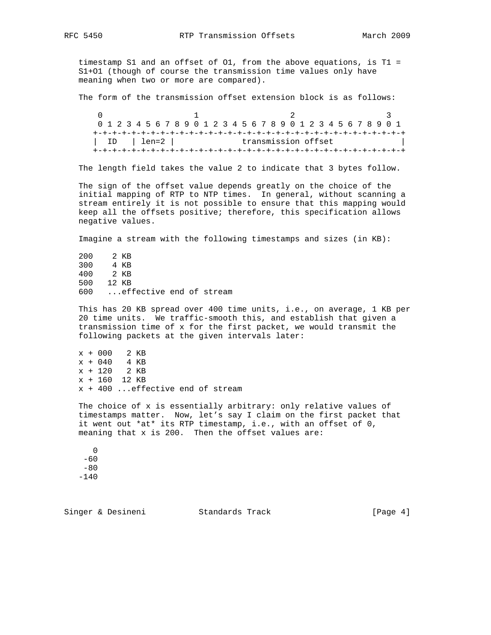timestamp S1 and an offset of O1, from the above equations, is T1 = S1+O1 (though of course the transmission time values only have meaning when two or more are compared).

The form of the transmission offset extension block is as follows:

 $0$  1 2 3 0 1 2 3 4 5 6 7 8 9 0 1 2 3 4 5 6 7 8 9 0 1 2 3 4 5 6 7 8 9 0 1 +-+-+-+-+-+-+-+-+-+-+-+-+-+-+-+-+-+-+-+-+-+-+-+-+-+-+-+-+-+-+-+-+ | ID | len=2 | transmission offset +-+-+-+-+-+-+-+-+-+-+-+-+-+-+-+-+-+-+-+-+-+-+-+-+-+-+-+-+-+-+-+-+

The length field takes the value 2 to indicate that 3 bytes follow.

 The sign of the offset value depends greatly on the choice of the initial mapping of RTP to NTP times. In general, without scanning a stream entirely it is not possible to ensure that this mapping would keep all the offsets positive; therefore, this specification allows negative values.

Imagine a stream with the following timestamps and sizes (in KB):

 200 2 KB 300 4 KB 400 2 KB 500 12 KB 600 ...effective end of stream

 This has 20 KB spread over 400 time units, i.e., on average, 1 KB per 20 time units. We traffic-smooth this, and establish that given a transmission time of x for the first packet, we would transmit the following packets at the given intervals later:

 x + 000 2 KB x + 040 4 KB x + 120 2 KB x + 160 12 KB x + 400 ...effective end of stream

 The choice of x is essentially arbitrary: only relative values of timestamps matter. Now, let's say I claim on the first packet that it went out \*at\* its RTP timestamp, i.e., with an offset of 0, meaning that x is 200. Then the offset values are:

 $\overline{0}$  -60  $-80$ -140

Singer & Desineni Standards Track (Page 4)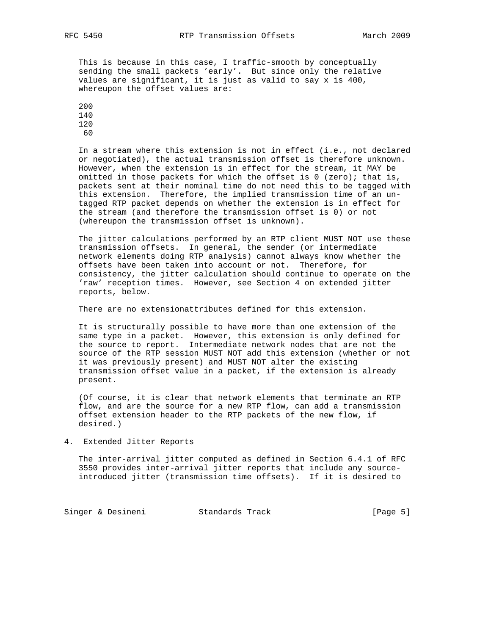This is because in this case, I traffic-smooth by conceptually sending the small packets 'early'. But since only the relative values are significant, it is just as valid to say x is 400, whereupon the offset values are:

 In a stream where this extension is not in effect (i.e., not declared or negotiated), the actual transmission offset is therefore unknown. However, when the extension is in effect for the stream, it MAY be omitted in those packets for which the offset is  $0$  (zero); that is, packets sent at their nominal time do not need this to be tagged with this extension. Therefore, the implied transmission time of an un tagged RTP packet depends on whether the extension is in effect for the stream (and therefore the transmission offset is 0) or not (whereupon the transmission offset is unknown).

 The jitter calculations performed by an RTP client MUST NOT use these transmission offsets. In general, the sender (or intermediate network elements doing RTP analysis) cannot always know whether the offsets have been taken into account or not. Therefore, for consistency, the jitter calculation should continue to operate on the 'raw' reception times. However, see Section 4 on extended jitter reports, below.

There are no extensionattributes defined for this extension.

 It is structurally possible to have more than one extension of the same type in a packet. However, this extension is only defined for the source to report. Intermediate network nodes that are not the source of the RTP session MUST NOT add this extension (whether or not it was previously present) and MUST NOT alter the existing transmission offset value in a packet, if the extension is already present.

 (Of course, it is clear that network elements that terminate an RTP flow, and are the source for a new RTP flow, can add a transmission offset extension header to the RTP packets of the new flow, if desired.)

4. Extended Jitter Reports

 The inter-arrival jitter computed as defined in Section 6.4.1 of RFC 3550 provides inter-arrival jitter reports that include any source introduced jitter (transmission time offsets). If it is desired to

Singer & Desineni Standards Track [Page 5]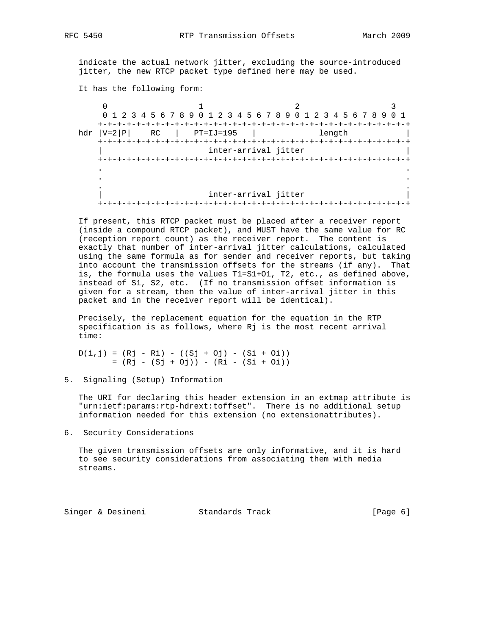indicate the actual network jitter, excluding the source-introduced jitter, the new RTCP packet type defined here may be used.

It has the following form:

|                      | $\text{hd}r$ $ V=2 P $<br>RC<br>+-+-+-+-+-+-+-+-+-+-+-+-+- |  | PT=IJ=195 |                      | 0 1 2 3 4 5 6 7 8 9 0 1 2 3 4 5 6 7 8 9 0 1 2 3 4 5 6 7 8 9 0 1<br>length |  |
|----------------------|------------------------------------------------------------|--|-----------|----------------------|---------------------------------------------------------------------------|--|
| inter-arrival jitter |                                                            |  |           |                      |                                                                           |  |
|                      |                                                            |  |           |                      |                                                                           |  |
|                      |                                                            |  |           |                      |                                                                           |  |
|                      | $+ - + - +$                                                |  |           | inter-arrival jitter |                                                                           |  |

 If present, this RTCP packet must be placed after a receiver report (inside a compound RTCP packet), and MUST have the same value for RC (reception report count) as the receiver report. The content is exactly that number of inter-arrival jitter calculations, calculated using the same formula as for sender and receiver reports, but taking into account the transmission offsets for the streams (if any). That is, the formula uses the values T1=S1+O1, T2, etc., as defined above, instead of S1, S2, etc. (If no transmission offset information is given for a stream, then the value of inter-arrival jitter in this packet and in the receiver report will be identical).

 Precisely, the replacement equation for the equation in the RTP specification is as follows, where Rj is the most recent arrival time:

 $D(i,j) = (Rj - Ri) - ((Sj + 0j) - (Si + 0i))$  $= (Rj - (Sj + 0j)) - (Ri - (Si + 0i))$ 

5. Signaling (Setup) Information

 The URI for declaring this header extension in an extmap attribute is "urn:ietf:params:rtp-hdrext:toffset". There is no additional setup information needed for this extension (no extensionattributes).

6. Security Considerations

 The given transmission offsets are only informative, and it is hard to see security considerations from associating them with media streams.

Singer & Desineni Standards Track [Page 6]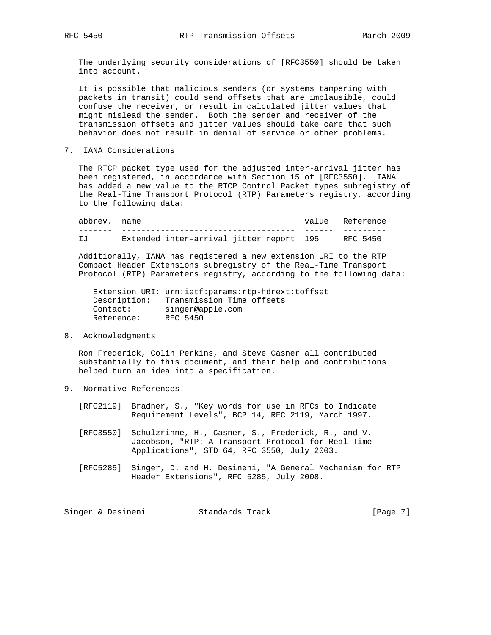The underlying security considerations of [RFC3550] should be taken into account.

 It is possible that malicious senders (or systems tampering with packets in transit) could send offsets that are implausible, could confuse the receiver, or result in calculated jitter values that might mislead the sender. Both the sender and receiver of the transmission offsets and jitter values should take care that such behavior does not result in denial of service or other problems.

7. IANA Considerations

 The RTCP packet type used for the adjusted inter-arrival jitter has been registered, in accordance with Section 15 of [RFC3550]. IANA has added a new value to the RTCP Control Packet types subregistry of the Real-Time Transport Protocol (RTP) Parameters registry, according to the following data:

 abbrev. name value Reference ------- ------------------------------------ ------ --------- IJ Extended inter-arrival jitter report 195 RFC 5450

 Additionally, IANA has registered a new extension URI to the RTP Compact Header Extensions subregistry of the Real-Time Transport Protocol (RTP) Parameters registry, according to the following data:

```
 Extension URI: urn:ietf:params:rtp-hdrext:toffset
    Description: Transmission Time offsets
Contact: singer@apple.com
Reference: RFC 5450
```
8. Acknowledgments

 Ron Frederick, Colin Perkins, and Steve Casner all contributed substantially to this document, and their help and contributions helped turn an idea into a specification.

9. Normative References

 [RFC2119] Bradner, S., "Key words for use in RFCs to Indicate Requirement Levels", BCP 14, RFC 2119, March 1997.

- [RFC3550] Schulzrinne, H., Casner, S., Frederick, R., and V. Jacobson, "RTP: A Transport Protocol for Real-Time Applications", STD 64, RFC 3550, July 2003.
- [RFC5285] Singer, D. and H. Desineni, "A General Mechanism for RTP Header Extensions", RFC 5285, July 2008.

Singer & Desineni Standards Track [Page 7]